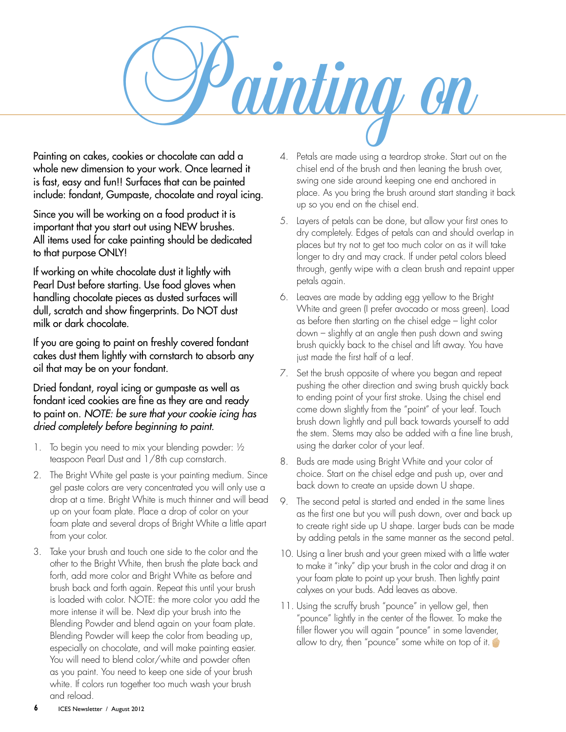Painting on

Painting on cakes, cookies or chocolate can add a whole new dimension to your work. Once learned it is fast, easy and fun!! Surfaces that can be painted include: fondant, Gumpaste, chocolate and royal icing.

Since you will be working on a food product it is important that you start out using NEW brushes. All items used for cake painting should be dedicated to that purpose ONLY!

If working on white chocolate dust it lightly with Pearl Dust before starting. Use food gloves when handling chocolate pieces as dusted surfaces will dull, scratch and show fingerprints. Do NOT dust milk or dark chocolate.

If you are going to paint on freshly covered fondant cakes dust them lightly with cornstarch to absorb any oil that may be on your fondant.

## Dried fondant, royal icing or gumpaste as well as fondant iced cookies are fine as they are and ready to paint on. *NOTE: be sure that your cookie icing has dried completely before beginning to paint.*

- 1. To begin you need to mix your blending powder: ½ teaspoon Pearl Dust and 1/8th cup cornstarch.
- 2. The Bright White gel paste is your painting medium. Since gel paste colors are very concentrated you will only use a drop at a time. Bright White is much thinner and will bead up on your foam plate. Place a drop of color on your foam plate and several drops of Bright White a little apart from your color.
- 3. Take your brush and touch one side to the color and the other to the Bright White, then brush the plate back and forth, add more color and Bright White as before and brush back and forth again. Repeat this until your brush is loaded with color. NOTE: the more color you add the more intense it will be. Next dip your brush into the Blending Powder and blend again on your foam plate. Blending Powder will keep the color from beading up, especially on chocolate, and will make painting easier. You will need to blend color/white and powder often as you paint. You need to keep one side of your brush white. If colors run together too much wash your brush and reload.
- 4. Petals are made using a teardrop stroke. Start out on the chisel end of the brush and then leaning the brush over, swing one side around keeping one end anchored in place. As you bring the brush around start standing it back up so you end on the chisel end.
- 5. Layers of petals can be done, but allow your first ones to dry completely. Edges of petals can and should overlap in places but try not to get too much color on as it will take longer to dry and may crack. If under petal colors bleed through, gently wipe with a clean brush and repaint upper petals again.
- 6. Leaves are made by adding egg yellow to the Bright White and green (I prefer avocado or moss green). Load as before then starting on the chisel edge – light color down – slightly at an angle then push down and swing brush quickly back to the chisel and lift away. You have just made the first half of a leaf.
- 7. Set the brush opposite of where you began and repeat pushing the other direction and swing brush quickly back to ending point of your first stroke. Using the chisel end come down slightly from the "point" of your leaf. Touch brush down lightly and pull back towards yourself to add the stem. Stems may also be added with a fine line brush, using the darker color of your leaf.
- 8. Buds are made using Bright White and your color of choice. Start on the chisel edge and push up, over and back down to create an upside down U shape.
- 9. The second petal is started and ended in the same lines as the first one but you will push down, over and back up to create right side up U shape. Larger buds can be made by adding petals in the same manner as the second petal.
- 10. Using a liner brush and your green mixed with a little water to make it "inky" dip your brush in the color and drag it on your foam plate to point up your brush. Then lightly paint calyxes on your buds. Add leaves as above.
- 11. Using the scruffy brush "pounce" in yellow gel, then "pounce" lightly in the center of the flower. To make the filler flower you will again "pounce" in some lavender, allow to dry, then "pounce" some white on top of it.